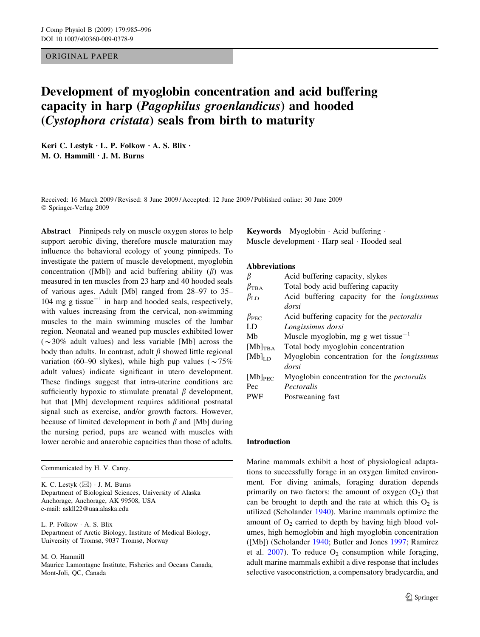# ORIGINAL PAPER

# Development of myoglobin concentration and acid buffering capacity in harp (Pagophilus groenlandicus) and hooded (Cystophora cristata) seals from birth to maturity

Keri C. Lestyk  $\cdot$  L. P. Folkow  $\cdot$  A. S. Blix  $\cdot$ M. O. Hammill  $\cdot$  J. M. Burns

Received: 16 March 2009 / Revised: 8 June 2009 / Accepted: 12 June 2009 / Published online: 30 June 2009 Springer-Verlag 2009

Abstract Pinnipeds rely on muscle oxygen stores to help support aerobic diving, therefore muscle maturation may influence the behavioral ecology of young pinnipeds. To investigate the pattern of muscle development, myoglobin concentration ([Mb]) and acid buffering ability  $(\beta)$  was measured in ten muscles from 23 harp and 40 hooded seals of various ages. Adult [Mb] ranged from 28–97 to 35– 104 mg g tissue<sup>-1</sup> in harp and hooded seals, respectively, with values increasing from the cervical, non-swimming muscles to the main swimming muscles of the lumbar region. Neonatal and weaned pup muscles exhibited lower  $(\sim 30\%$  adult values) and less variable [Mb] across the body than adults. In contrast, adult  $\beta$  showed little regional variation (60–90 slykes), while high pup values ( $\sim 75\%$ ) adult values) indicate significant in utero development. These findings suggest that intra-uterine conditions are sufficiently hypoxic to stimulate prenatal  $\beta$  development, but that [Mb] development requires additional postnatal signal such as exercise, and/or growth factors. However, because of limited development in both  $\beta$  and [Mb] during the nursing period, pups are weaned with muscles with lower aerobic and anaerobic capacities than those of adults.

Communicated by H. V. Carey.

K. C. Lestyk  $(\boxtimes) \cdot$  J. M. Burns Department of Biological Sciences, University of Alaska Anchorage, Anchorage, AK 99508, USA e-mail: askll22@uaa.alaska.edu

L. P. Folkow · A. S. Blix Department of Arctic Biology, Institute of Medical Biology, University of Tromsø, 9037 Tromsø, Norway

M. O. Hammill

Maurice Lamontagne Institute, Fisheries and Oceans Canada, Mont-Joli, QC, Canada

**Keywords** Myoglobin  $\cdot$  Acid buffering  $\cdot$ Muscle development · Harp seal · Hooded seal

## Abbreviations

|                      | Acid buffering capacity, slykes                    |  |  |  |  |  |  |
|----------------------|----------------------------------------------------|--|--|--|--|--|--|
| $\beta_{\rm TBA}$    | Total body acid buffering capacity                 |  |  |  |  |  |  |
| $\beta_{\rm LD}$     | Acid buffering capacity for the <i>longissimus</i> |  |  |  |  |  |  |
|                      | dorsi                                              |  |  |  |  |  |  |
| $\beta_{\text{PFC}}$ | Acid buffering capacity for the <i>pectoralis</i>  |  |  |  |  |  |  |
| LD                   | Longissimus dorsi                                  |  |  |  |  |  |  |
| Mb                   | Muscle myoglobin, mg g wet tissue <sup>-1</sup>    |  |  |  |  |  |  |
| $[Mb]_{\text{TRA}}$  | Total body myoglobin concentration                 |  |  |  |  |  |  |
| $[Mb]$ <sub>LD</sub> | Myoglobin concentration for the <i>longissimus</i> |  |  |  |  |  |  |
|                      | dorsi                                              |  |  |  |  |  |  |
| $[Mb]_{\text{PEC}}$  | Myoglobin concentration for the <i>pectoralis</i>  |  |  |  |  |  |  |
| Pec                  | Pectoralis                                         |  |  |  |  |  |  |
| <b>PWF</b>           | Postweaning fast                                   |  |  |  |  |  |  |

#### Introduction

Marine mammals exhibit a host of physiological adaptations to successfully forage in an oxygen limited environment. For diving animals, foraging duration depends primarily on two factors: the amount of oxygen  $(O_2)$  that can be brought to depth and the rate at which this  $O_2$  is utilized (Scholander [1940\)](#page-11-0). Marine mammals optimize the amount of  $O_2$  carried to depth by having high blood volumes, high hemoglobin and high myoglobin concentration ([Mb]) (Scholander [1940;](#page-11-0) Butler and Jones [1997](#page-10-0); Ramirez et al.  $2007$ ). To reduce  $O_2$  consumption while foraging, adult marine mammals exhibit a dive response that includes selective vasoconstriction, a compensatory bradycardia, and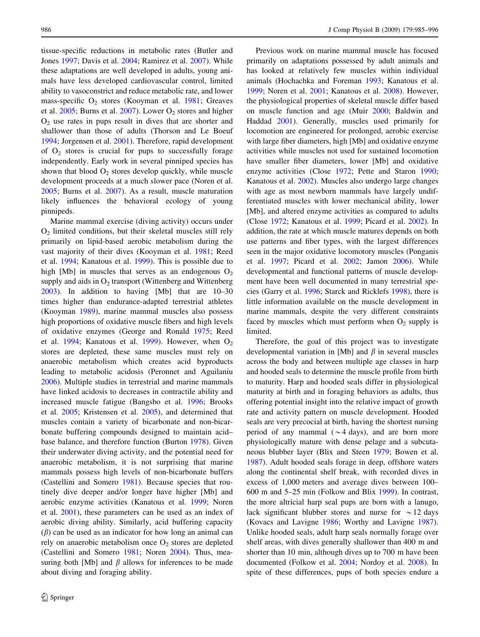tissue-specific reductions in metabolic rates (Butler and Jones [1997;](#page-10-0) Davis et al. [2004;](#page-10-0) Ramirez et al. [2007\)](#page-11-0). While these adaptations are well developed in adults, young animals have less developed cardiovascular control, limited ability to vasoconstrict and reduce metabolic rate, and lower mass-specific  $O_2$  stores (Kooyman et al. [1981;](#page-10-0) Greaves et al.  $2005$ ; Burns et al.  $2007$ ). Lower O<sub>2</sub> stores and higher  $O<sub>2</sub>$  use rates in pups result in dives that are shorter and shallower than those of adults (Thorson and Le Boeuf [1994;](#page-11-0) Jorgensen et al. [2001](#page-10-0)). Therefore, rapid development of  $O_2$  stores is crucial for pups to successfully forage independently. Early work in several pinniped species has shown that blood  $O_2$  stores develop quickly, while muscle development proceeds at a much slower pace (Noren et al. [2005;](#page-11-0) Burns et al. [2007\)](#page-10-0). As a result, muscle maturation likely influences the behavioral ecology of young pinnipeds.

Marine mammal exercise (diving activity) occurs under  $O<sub>2</sub>$  limited conditions, but their skeletal muscles still rely primarily on lipid-based aerobic metabolism during the vast majority of their dives (Kooyman et al. [1981;](#page-10-0) Reed et al. [1994](#page-11-0); Kanatous et al. [1999](#page-10-0)). This is possible due to high [Mb] in muscles that serves as an endogenous  $O_2$ supply and aids in  $O<sub>2</sub>$  transport (Wittenberg and Wittenberg [2003\)](#page-11-0). In addition to having [Mb] that are 10–30 times higher than endurance-adapted terrestrial athletes (Kooyman [1989](#page-10-0)), marine mammal muscles also possess high proportions of oxidative muscle fibers and high levels of oxidative enzymes (George and Ronald [1975](#page-10-0); Reed et al. [1994](#page-11-0); Kanatous et al. [1999](#page-10-0)). However, when  $O_2$ stores are depleted, these same muscles must rely on anaerobic metabolism which creates acid byproducts leading to metabolic acidosis (Peronnet and Aguilaniu [2006\)](#page-11-0). Multiple studies in terrestrial and marine mammals have linked acidosis to decreases in contractile ability and increased muscle fatigue (Bangsbo et al. [1996](#page-10-0); Brooks et al. [2005](#page-10-0); Kristensen et al. [2005\)](#page-10-0), and determined that muscles contain a variety of bicarbonate and non-bicarbonate buffering compounds designed to maintain acid– base balance, and therefore function (Burton [1978\)](#page-10-0). Given their underwater diving activity, and the potential need for anaerobic metabolism, it is not surprising that marine mammals possess high levels of non-bicarbonate buffers (Castellini and Somero [1981\)](#page-10-0). Because species that routinely dive deeper and/or longer have higher [Mb] and aerobic enzyme activities (Kanatous et al. [1999](#page-10-0); Noren et al. [2001](#page-11-0)), these parameters can be used as an index of aerobic diving ability. Similarly, acid buffering capacity  $(\beta)$  can be used as an indicator for how long an animal can rely on anaerobic metabolism once  $O_2$  stores are depleted (Castellini and Somero [1981](#page-10-0); Noren [2004\)](#page-11-0). Thus, measuring both [Mb] and  $\beta$  allows for inferences to be made about diving and foraging ability.

Previous work on marine mammal muscle has focused primarily on adaptations possessed by adult animals and has looked at relatively few muscles within individual animals (Hochachka and Foreman [1993](#page-10-0); Kanatous et al. [1999](#page-10-0); Noren et al. [2001;](#page-11-0) Kanatous et al. [2008\)](#page-10-0). However, the physiological properties of skeletal muscle differ based on muscle function and age (Muir [2000](#page-11-0); Baldwin and Haddad [2001\)](#page-10-0). Generally, muscles used primarily for locomotion are engineered for prolonged, aerobic exercise with large fiber diameters, high [Mb] and oxidative enzyme activities while muscles not used for sustained locomotion have smaller fiber diameters, lower [Mb] and oxidative enzyme activities (Close [1972](#page-10-0); Pette and Staron [1990](#page-11-0); Kanatous et al. [2002\)](#page-10-0). Muscles also undergo large changes with age as most newborn mammals have largely undifferentiated muscles with lower mechanical ability, lower [Mb], and altered enzyme activities as compared to adults (Close [1972;](#page-10-0) Kanatous et al. [1999](#page-10-0); Picard et al. [2002\)](#page-11-0). In addition, the rate at which muscle matures depends on both use patterns and fiber types, with the largest differences seen in the major oxidative locomotory muscles (Ponganis et al. [1997;](#page-11-0) Picard et al. [2002](#page-11-0); Jamon [2006\)](#page-10-0). While developmental and functional patterns of muscle development have been well documented in many terrestrial species (Garry et al. [1996](#page-10-0); Starck and Ricklefs [1998\)](#page-11-0), there is little information available on the muscle development in marine mammals, despite the very different constraints faced by muscles which must perform when  $O_2$  supply is limited.

Therefore, the goal of this project was to investigate developmental variation in [Mb] and  $\beta$  in several muscles across the body and between multiple age classes in harp and hooded seals to determine the muscle profile from birth to maturity. Harp and hooded seals differ in physiological maturity at birth and in foraging behaviors as adults, thus offering potential insight into the relative impact of growth rate and activity pattern on muscle development. Hooded seals are very precocial at birth, having the shortest nursing period of any mammal ( $\sim$ 4 days), and are born more physiologically mature with dense pelage and a subcutaneous blubber layer (Blix and Steen [1979](#page-10-0); Bowen et al. [1987](#page-10-0)). Adult hooded seals forage in deep, offshore waters along the continental shelf break, with recorded dives in excess of 1,000 meters and average dives between 100– 600 m and 5–25 min (Folkow and Blix [1999\)](#page-10-0). In contrast, the more altricial harp seal pups are born with a lanugo, lack significant blubber stores and nurse for  $\sim$ 12 days (Kovacs and Lavigne [1986](#page-10-0); Worthy and Lavigne [1987](#page-11-0)). Unlike hooded seals, adult harp seals normally forage over shelf areas, with dives generally shallower than 400 m and shorter than 10 min, although dives up to 700 m have been documented (Folkow et al. [2004](#page-10-0); Nordoy et al. [2008](#page-11-0)). In spite of these differences, pups of both species endure a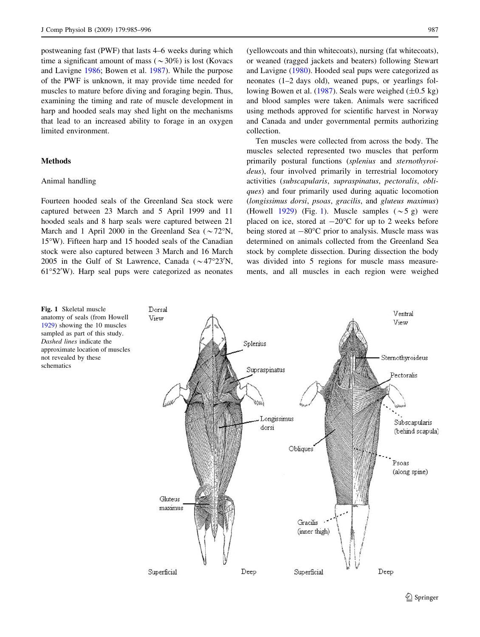postweaning fast (PWF) that lasts 4–6 weeks during which time a significant amount of mass ( $\sim$ 30%) is lost (Kovacs and Lavigne [1986;](#page-10-0) Bowen et al. [1987](#page-10-0)). While the purpose of the PWF is unknown, it may provide time needed for muscles to mature before diving and foraging begin. Thus, examining the timing and rate of muscle development in harp and hooded seals may shed light on the mechanisms that lead to an increased ability to forage in an oxygen limited environment.

# Methods

# Animal handling

Fourteen hooded seals of the Greenland Sea stock were captured between 23 March and 5 April 1999 and 11 hooded seals and 8 harp seals were captured between 21 March and 1 April 2000 in the Greenland Sea ( $\sim$ 72°N, 15°W). Fifteen harp and 15 hooded seals of the Canadian stock were also captured between 3 March and 16 March 2005 in the Gulf of St Lawrence, Canada  $(\sim 47^{\circ}23'N,$ 61°52'W). Harp seal pups were categorized as neonates

(yellowcoats and thin whitecoats), nursing (fat whitecoats), or weaned (ragged jackets and beaters) following Stewart and Lavigne [\(1980](#page-11-0)). Hooded seal pups were categorized as neonates (1–2 days old), weaned pups, or yearlings fol-lowing Bowen et al. [\(1987](#page-10-0)). Seals were weighed  $(\pm 0.5 \text{ kg})$ and blood samples were taken. Animals were sacrificed using methods approved for scientific harvest in Norway and Canada and under governmental permits authorizing collection.

Ten muscles were collected from across the body. The muscles selected represented two muscles that perform primarily postural functions (splenius and sternothyroideus), four involved primarily in terrestrial locomotory activities (subscapularis, supraspinatus, pectoralis, obliques) and four primarily used during aquatic locomotion (longissimus dorsi, psoas, gracilis, and gluteus maximus) (Howell [1929](#page-10-0)) (Fig. 1). Muscle samples  $(\sim 5 \text{ g})$  were placed on ice, stored at  $-20^{\circ}$ C for up to 2 weeks before being stored at  $-80^{\circ}$ C prior to analysis. Muscle mass was determined on animals collected from the Greenland Sea stock by complete dissection. During dissection the body was divided into 5 regions for muscle mass measurements, and all muscles in each region were weighed

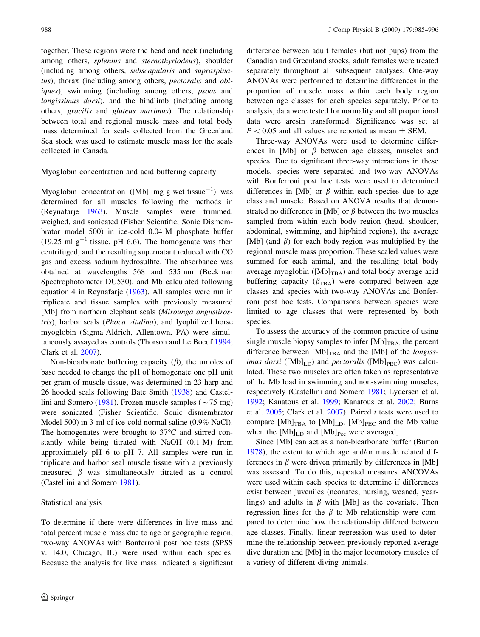together. These regions were the head and neck (including among others, splenius and sternothyriodeus), shoulder (including among others, subscapularis and supraspinatus), thorax (including among others, *pectoralis* and *obl*iques), swimming (including among others, *psoas* and longissimus dorsi), and the hindlimb (including among others, gracilis and gluteus maximus). The relationship between total and regional muscle mass and total body mass determined for seals collected from the Greenland Sea stock was used to estimate muscle mass for the seals collected in Canada.

## Myoglobin concentration and acid buffering capacity

Myoglobin concentration ([Mb] mg g wet tissue<sup>-1</sup>) was determined for all muscles following the methods in (Reynafarje [1963\)](#page-11-0). Muscle samples were trimmed, weighed, and sonicated (Fisher Scientific, Sonic Dismembrator model 500) in ice-cold 0.04 M phosphate buffer (19.25 ml  $g^{-1}$  tissue, pH 6.6). The homogenate was then centrifuged, and the resulting supernatant reduced with CO gas and excess sodium hydrosulfite. The absorbance was obtained at wavelengths 568 and 535 nm (Beckman Spectrophotometer DU530), and Mb calculated following equation 4 in Reynafarje ([1963\)](#page-11-0). All samples were run in triplicate and tissue samples with previously measured [Mb] from northern elephant seals (Mirounga angustirostris), harbor seals (Phoca vitulina), and lyophilized horse myoglobin (Sigma-Aldrich, Allentown, PA) were simultaneously assayed as controls (Thorson and Le Boeuf [1994](#page-11-0); Clark et al. [2007](#page-10-0)).

Non-bicarbonate buffering capacity  $(\beta)$ , the *µmoles* of base needed to change the pH of homogenate one pH unit per gram of muscle tissue, was determined in 23 harp and 26 hooded seals following Bate Smith ([1938\)](#page-10-0) and Castel-lini and Somero [\(1981](#page-10-0)). Frozen muscle samples ( $\sim$ 75 mg) were sonicated (Fisher Scientific, Sonic dismembrator Model 500) in 3 ml of ice-cold normal saline (0.9% NaCl). The homogenates were brought to  $37^{\circ}$ C and stirred constantly while being titrated with NaOH (0.1 M) from approximately pH 6 to pH 7. All samples were run in triplicate and harbor seal muscle tissue with a previously measured  $\beta$  was simultaneously titrated as a control (Castellini and Somero [1981](#page-10-0)).

#### Statistical analysis

To determine if there were differences in live mass and total percent muscle mass due to age or geographic region, two-way ANOVAs with Bonferroni post hoc tests (SPSS v. 14.0, Chicago, IL) were used within each species. Because the analysis for live mass indicated a significant difference between adult females (but not pups) from the Canadian and Greenland stocks, adult females were treated separately throughout all subsequent analyses. One-way ANOVAs were performed to determine differences in the proportion of muscle mass within each body region between age classes for each species separately. Prior to analysis, data were tested for normality and all proportional data were arcsin transformed. Significance was set at  $P < 0.05$  and all values are reported as mean  $\pm$  SEM.

Three-way ANOVAs were used to determine differences in [Mb] or  $\beta$  between age classes, muscles and species. Due to significant three-way interactions in these models, species were separated and two-way ANOVAs with Bonferroni post hoc tests were used to determined differences in [Mb] or  $\beta$  within each species due to age class and muscle. Based on ANOVA results that demonstrated no difference in [Mb] or  $\beta$  between the two muscles sampled from within each body region (head, shoulder, abdominal, swimming, and hip/hind regions), the average [Mb] (and  $\beta$ ) for each body region was multiplied by the regional muscle mass proportion. These scaled values were summed for each animal, and the resulting total body average myoglobin ( $[Mb]_{TBA}$ ) and total body average acid buffering capacity  $(\beta_{\text{TRA}})$  were compared between age classes and species with two-way ANOVAs and Bonferroni post hoc tests. Comparisons between species were limited to age classes that were represented by both species.

To assess the accuracy of the common practice of using single muscle biopsy samples to infer  $[Mb]_{TBA}$ , the percent difference between  $[Mb]_{TBA}$  and the [Mb] of the *longissimus dorsi* ( $[Mb]_{LD}$ ) and *pectoralis* ( $[Mb]_{PEC}$ ) was calculated. These two muscles are often taken as representative of the Mb load in swimming and non-swimming muscles, respectively (Castellini and Somero [1981](#page-10-0); Lydersen et al. [1992](#page-10-0); Kanatous et al. [1999;](#page-10-0) Kanatous et al. [2002;](#page-10-0) Burns et al.  $2005$ ; Clark et al.  $2007$ ). Paired t tests were used to compare  $[Mb]_{TBA}$  to  $[Mb]_{LD}$ ,  $[Mb]_{PEC}$  and the Mb value when the  $[Mb]_{LD}$  and  $[Mb]_{Pec}$  were averaged.

Since [Mb] can act as a non-bicarbonate buffer (Burton [1978](#page-10-0)), the extent to which age and/or muscle related differences in  $\beta$  were driven primarily by differences in [Mb] was assessed. To do this, repeated measures ANCOVAs were used within each species to determine if differences exist between juveniles (neonates, nursing, weaned, yearlings) and adults in  $\beta$  with [Mb] as the covariate. Then regression lines for the  $\beta$  to Mb relationship were compared to determine how the relationship differed between age classes. Finally, linear regression was used to determine the relationship between previously reported average dive duration and [Mb] in the major locomotory muscles of a variety of different diving animals.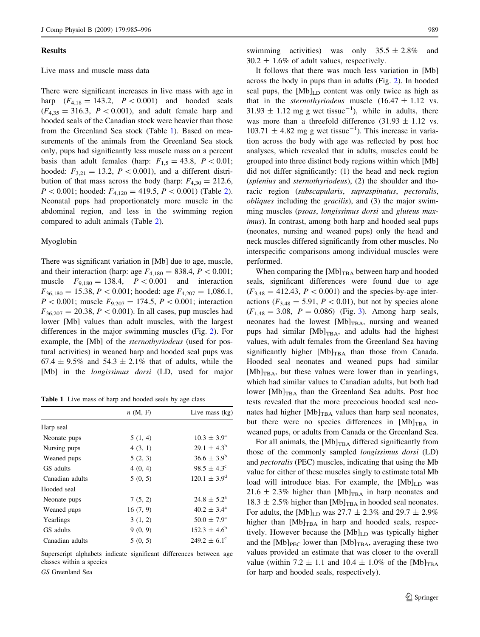#### Results

#### Live mass and muscle mass data

There were significant increases in live mass with age in harp  $(F_{4,18} = 143.2, P < 0.001)$  and hooded seals  $(F_{4,35} = 316.3, P < 0.001)$ , and adult female harp and hooded seals of the Canadian stock were heavier than those from the Greenland Sea stock (Table 1). Based on measurements of the animals from the Greenland Sea stock only, pups had significantly less muscle mass on a percent basis than adult females (harp:  $F_{1,5} = 43.8$ ,  $P \lt 0.01$ ; hooded:  $F_{3,21} = 13.2$ ,  $P < 0.001$ ), and a different distribution of that mass across the body (harp:  $F_{4,30} = 212.6$ ,  $P < 0.001$ ; hooded:  $F_{4,120} = 419.5$  $F_{4,120} = 419.5$  $F_{4,120} = 419.5$ ,  $P < 0.001$ ) (Table 2). Neonatal pups had proportionately more muscle in the abdominal region, and less in the swimming region compared to adult animals (Table [2](#page-5-0)).

#### Myoglobin

There was significant variation in [Mb] due to age, muscle, and their interaction (harp: age  $F_{4,180} = 838.4, P < 0.001;$ muscle  $F_{9,180} = 138.4$ ,  $P < 0.001$  and interaction  $F_{36,180} = 15.38, P < 0.001$ ; hooded: age  $F_{4,207} = 1,086.1$ ,  $P < 0.001$ ; muscle  $F_{9,207} = 174.5$ ,  $P < 0.001$ ; interaction  $F_{36,207} = 20.38, P < 0.001$ . In all cases, pup muscles had lower [Mb] values than adult muscles, with the largest differences in the major swimming muscles (Fig. [2](#page-5-0)). For example, the [Mb] of the sternothyriodeus (used for postural activities) in weaned harp and hooded seal pups was  $67.4 \pm 9.5\%$  and  $54.3 \pm 2.1\%$  that of adults, while the [Mb] in the longissimus dorsi (LD, used for major

Table 1 Live mass of harp and hooded seals by age class

|                 | n(M, F)  | Live mass $(kg)$        |
|-----------------|----------|-------------------------|
| Harp seal       |          |                         |
| Neonate pups    | 5(1, 4)  | $10.3 \pm 3.9^{\circ}$  |
| Nursing pups    | 4(3, 1)  | $29.1 \pm 4.3^b$        |
| Weaned pups     | 5(2, 3)  | $36.6 \pm 3.9^b$        |
| GS adults       | 4(0, 4)  | $98.5 \pm 4.3^{\circ}$  |
| Canadian adults | 5(0, 5)  | $120.1 \pm 3.9^d$       |
| Hooded seal     |          |                         |
| Neonate pups    | 7(5, 2)  | $24.8 \pm 5.2^{\circ}$  |
| Weaned pups     | 16(7, 9) | $40.2 \pm 3.4^{\circ}$  |
| Yearlings       | 3(1, 2)  | $50.0 \pm 7.9^{\circ}$  |
| GS adults       | 9(0, 9)  | $152.3 \pm 4.6^b$       |
| Canadian adults | 5(0, 5)  | $249.2 \pm 6.1^{\circ}$ |
|                 |          |                         |

Superscript alphabets indicate significant differences between age classes within a species

GS Greenland Sea

swimming activities) was only  $35.5 \pm 2.8\%$  and  $30.2 \pm 1.6\%$  of adult values, respectively.

It follows that there was much less variation in [Mb] across the body in pups than in adults (Fig. [2\)](#page-5-0). In hooded seal pups, the  $[Mb]_{LD}$  content was only twice as high as that in the *sternothyriodeus* muscle  $(16.47 \pm 1.12 \text{ vs.})$  $31.93 \pm 1.12$  mg g wet tissue<sup>-1</sup>), while in adults, there was more than a threefold difference  $(31.93 \pm 1.12 \text{ vs.})$  $103.71 \pm 4.82$  mg g wet tissue<sup>-1</sup>). This increase in variation across the body with age was reflected by post hoc analyses, which revealed that in adults, muscles could be grouped into three distinct body regions within which [Mb] did not differ significantly: (1) the head and neck region (splenius and sternothyriodeus), (2) the shoulder and thoracic region (subscapularis, supraspinatus, pectoralis, obliques including the gracilis), and (3) the major swimming muscles (psoas, longissimus dorsi and gluteus maximus). In contrast, among both harp and hooded seal pups (neonates, nursing and weaned pups) only the head and neck muscles differed significantly from other muscles. No interspecific comparisons among individual muscles were performed.

When comparing the  $[Mb]_{TBA}$  between harp and hooded seals, significant differences were found due to age  $(F_{3,48} = 412.43, P < 0.001)$  and the species-by-age interactions ( $F_{3,48} = 5.91, P < 0.01$ ), but not by species alone  $(F_{1,48} = 3.08, P = 0.086)$  (Fig. [3\)](#page-6-0). Among harp seals, neonates had the lowest  $[Mb]_{TBA}$ , nursing and weaned pups had similar  $[Mb]_{TBA}$ , and adults had the highest values, with adult females from the Greenland Sea having significantly higher  $[Mb]_{TBA}$  than those from Canada. Hooded seal neonates and weaned pups had similar  $[Mb]_{TBA}$ , but these values were lower than in yearlings, which had similar values to Canadian adults, but both had lower  $[Mb]_{TBA}$  than the Greenland Sea adults. Post hoc tests revealed that the more precocious hooded seal neonates had higher  $[Mb]_{TBA}$  values than harp seal neonates, but there were no species differences in  $[Mb]_{\text{TBA}}$  in weaned pups, or adults from Canada or the Greenland Sea.

For all animals, the  $[Mb]_{TBA}$  differed significantly from those of the commonly sampled longissimus dorsi (LD) and pectoralis (PEC) muscles, indicating that using the Mb value for either of these muscles singly to estimate total Mb load will introduce bias. For example, the [Mb]<sub>LD</sub> was  $21.6 \pm 2.3\%$  higher than [Mb]<sub>TBA</sub> in harp neonates and  $18.3 \pm 2.5\%$  higher than [Mb]<sub>TBA</sub> in hooded seal neonates. For adults, the  $[Mb]_{LD}$  was 27.7  $\pm$  2.3% and 29.7  $\pm$  2.9% higher than  $[Mb]_{TBA}$  in harp and hooded seals, respectively. However because the  $[Mb]_{LD}$  was typically higher and the  $[Mb]_{\text{PEC}}$  lower than  $[Mb]_{\text{TBA}}$ , averaging these two values provided an estimate that was closer to the overall value (within 7.2  $\pm$  1.1 and 10.4  $\pm$  1.0% of the [Mb]<sub>TBA</sub> for harp and hooded seals, respectively).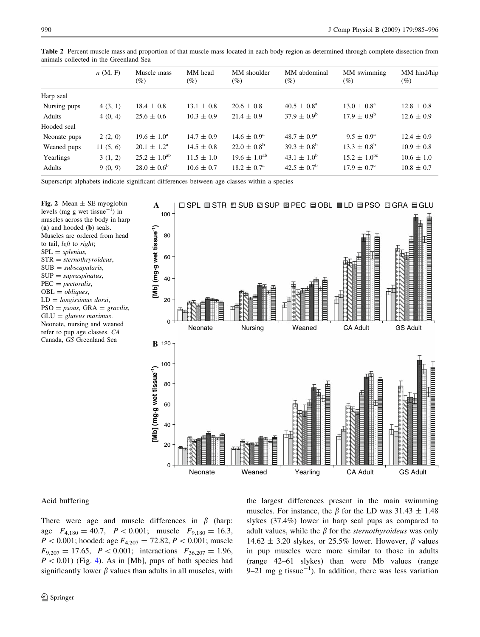|              | n(M, F)  | Muscle mass<br>(%)     | MM head<br>$(\%)$ | MM shoulder<br>(%)     | MM abdominal<br>$(\%)$ | MM swimming<br>(%)      | MM hind/hip<br>$(\%)$ |
|--------------|----------|------------------------|-------------------|------------------------|------------------------|-------------------------|-----------------------|
| Harp seal    |          |                        |                   |                        |                        |                         |                       |
| Nursing pups | 4(3, 1)  | $18.4 \pm 0.8$         | $13.1 \pm 0.8$    | $20.6 \pm 0.8$         | $40.5 \pm 0.8^{\circ}$ | $13.0 \pm 0.8^{\rm a}$  | $12.8 \pm 0.8$        |
| Adults       | 4(0, 4)  | $25.6 \pm 0.6$         | $10.3 \pm 0.9$    | $21.4 \pm 0.9$         | $37.9 \pm 0.9^{\rm b}$ | $17.9 \pm 0.9^{\rm b}$  | $12.6 \pm 0.9$        |
| Hooded seal  |          |                        |                   |                        |                        |                         |                       |
| Neonate pups | 2(2, 0)  | $19.6 \pm 1.0^{\circ}$ | $14.7 \pm 0.9$    | $14.6 \pm 0.9^{\rm a}$ | $48.7 \pm 0.9^{\rm a}$ | $9.5 \pm 0.9^{\rm a}$   | $12.4 \pm 0.9$        |
| Weaned pups  | 11(5, 6) | $20.1 \pm 1.2^{\rm a}$ | $14.5 \pm 0.8$    | $22.0 \pm 0.8^{\rm b}$ | $39.3 \pm 0.8^{\rm b}$ | $13.3 \pm 0.8^{\rm b}$  | $10.9 \pm 0.8$        |
| Yearlings    | 3(1, 2)  | $25.2 \pm 1.0^{ab}$    | $11.5 \pm 1.0$    | $19.6 \pm 1.0^{ab}$    | $43.1 \pm 1.0^{6}$     | $15.2 \pm 1.0^{\rm bc}$ | $10.6 \pm 1.0$        |
| Adults       | 9(0, 9)  | $28.0 \pm 0.6^{\circ}$ | $10.6 \pm 0.7$    | $18.2 \pm 0.7^{\rm a}$ | $42.5 \pm 0.7^{\rm b}$ | $17.9 \pm 0.7^{\circ}$  | $10.8 \pm 0.7$        |

<span id="page-5-0"></span>Table 2 Percent muscle mass and proportion of that muscle mass located in each body region as determined through complete dissection from animals collected in the Greenland Sea

Superscript alphabets indicate significant differences between age classes within a species

Fig. 2 Mean  $\pm$  SE myoglobin levels (mg g wet tissue $^{-1}$ ) in muscles across the body in harp (a) and hooded (b) seals. Muscles are ordered from head to tail, left to right;  $SPL = splenius$ ,  $STR = sternothryroideus$ ,  $SUB = subscapularis,$  $SUP = supraspinatus$ ,  $PEC = pectoralis$ ,  $OBL = obliques,$  $LD = longissimus$  dorsi,  $PSO = psoas$ ,  $GRA = \text{gracilis}$ ,  $GLU =$  gluteus maximus. Neonate, nursing and weaned refer to pup age classes. CA Canada, GS Greenland Sea



## Acid buffering

There were age and muscle differences in  $\beta$  (harp: age  $F_{4,180} = 40.7$ ,  $P \lt 0.001$ ; muscle  $F_{9,180} = 16.3$ ,  $P < 0.001$ ; hooded: age  $F_{4,207} = 72.82, P < 0.001$ ; muscle  $F_{9,207} = 17.65$ ,  $P < 0.001$ ; interactions  $F_{36,207} = 1.96$ ,  $P < 0.01$ ) (Fig. [4](#page-6-0)). As in [Mb], pups of both species had significantly lower  $\beta$  values than adults in all muscles, with the largest differences present in the main swimming muscles. For instance, the  $\beta$  for the LD was 31.43  $\pm$  1.48 slykes (37.4%) lower in harp seal pups as compared to adult values, while the  $\beta$  for the *sternothyroideus* was only 14.62  $\pm$  3.20 slykes, or 25.5% lower. However,  $\beta$  values in pup muscles were more similar to those in adults (range 42–61 slykes) than were Mb values (range 9–21 mg g tissue<sup>-1</sup>). In addition, there was less variation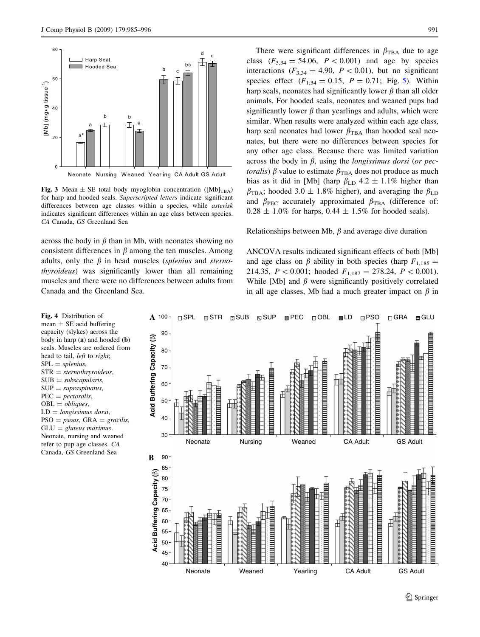<span id="page-6-0"></span>

Fig. 3 Mean  $\pm$  SE total body myoglobin concentration ([Mb]<sub>TBA</sub>) for harp and hooded seals. Superscripted letters indicate significant differences between age classes within a species, while asterisk indicates significant differences within an age class between species. CA Canada, GS Greenland Sea

across the body in  $\beta$  than in Mb, with neonates showing no consistent differences in  $\beta$  among the ten muscles. Among adults, only the  $\beta$  in head muscles (splenius and sternothyroideus) was significantly lower than all remaining muscles and there were no differences between adults from Canada and the Greenland Sea.

There were significant differences in  $\beta_{\text{TBA}}$  due to age class  $(F_{3,34} = 54.06, P < 0.001)$  and age by species interactions ( $F_{3,34} = 4.90$ ,  $P < 0.01$ ), but no significant species effect  $(F_{1,34} = 0.15, P = 0.71; Fig. 5)$  $(F_{1,34} = 0.15, P = 0.71; Fig. 5)$  $(F_{1,34} = 0.15, P = 0.71; Fig. 5)$ . Within harp seals, neonates had significantly lower  $\beta$  than all older animals. For hooded seals, neonates and weaned pups had significantly lower  $\beta$  than yearlings and adults, which were similar. When results were analyzed within each age class, harp seal neonates had lower  $\beta_{\text{TRA}}$  than hooded seal neonates, but there were no differences between species for any other age class. Because there was limited variation across the body in  $\beta$ , using the *longissimus dorsi* (or pec*toralis*)  $\beta$  value to estimate  $\beta_{\text{TBA}}$  does not produce as much bias as it did in [Mb] (harp  $\beta_{\text{LD}}$  4.2  $\pm$  1.1% higher than  $\beta_{\text{TBA}}$ ; hooded 3.0  $\pm$  1.8% higher), and averaging the  $\beta_{\text{LD}}$ and  $\beta_{\text{PEC}}$  accurately approximated  $\beta_{\text{TBA}}$  (difference of:  $0.28 \pm 1.0\%$  for harps,  $0.44 \pm 1.5\%$  for hooded seals).

#### Relationships between Mb,  $\beta$  and average dive duration

ANCOVA results indicated significant effects of both [Mb] and age class on  $\beta$  ability in both species (harp  $F_{1,185}$  = 214.35,  $P \lt 0.001$ ; hooded  $F_{1,187} = 278.24$ ,  $P \lt 0.001$ . While [Mb] and  $\beta$  were significantly positively correlated in all age classes, Mb had a much greater impact on  $\beta$  in



Fig. 4 Distribution of mean  $\pm$  SE acid buffering capacity (slykes) across the body in harp (a) and hooded (b) seals. Muscles are ordered from head to tail, *left* to *right*;  $SPL = splenius$  $STR = sternothryroideus$ ,  $SUB = *subscapularis*$ ,  $SUP = supraspinatus$  $PEC = pectoralis$ ,  $OBL = obliques,$  $LD = longissimus$  dorsi,  $PSO = psoas$ ,  $GRA = \frac{gracilis}{r}$ ,  $GLU =$  gluteus maximus. Neonate, nursing and weaned refer to pup age classes. CA Canada, GS Greenland Sea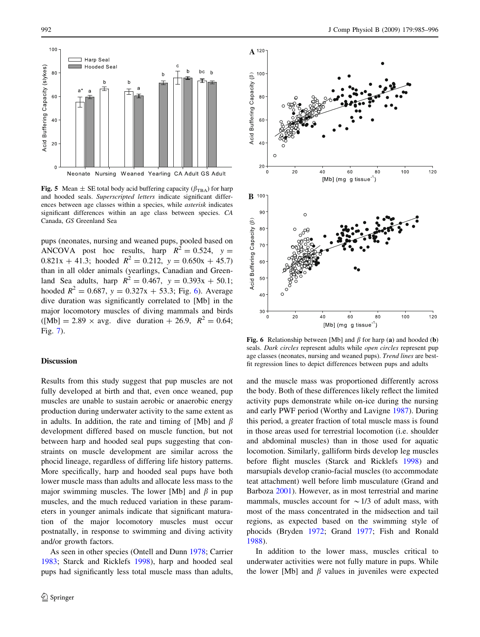<span id="page-7-0"></span>

**Fig. 5** Mean  $\pm$  SE total body acid buffering capacity ( $\beta_{\text{TBA}}$ ) for harp and hooded seals. Superscripted letters indicate significant differences between age classes within a species, while asterisk indicates significant differences within an age class between species. CA Canada, GS Greenland Sea

pups (neonates, nursing and weaned pups, pooled based on ANCOVA post hoc results, harp  $R^2 = 0.524$ ,  $y =$  $0.821x + 41.3$ ; hooded  $R^2 = 0.212$ ,  $y = 0.650x + 45.7$ than in all older animals (yearlings, Canadian and Greenland Sea adults, harp  $R^2 = 0.467$ ,  $y = 0.393x + 50.1$ ; hooded  $R^2 = 0.687$ ,  $y = 0.327x + 53.3$ ; Fig. 6). Average dive duration was significantly correlated to [Mb] in the major locomotory muscles of diving mammals and birds  $([Mb] = 2.89 \times avg.$  dive duration + 26.9,  $R^2 = 0.64$ ; Fig. [7](#page-8-0)).

# **Discussion**

Results from this study suggest that pup muscles are not fully developed at birth and that, even once weaned, pup muscles are unable to sustain aerobic or anaerobic energy production during underwater activity to the same extent as in adults. In addition, the rate and timing of [Mb] and  $\beta$ development differed based on muscle function, but not between harp and hooded seal pups suggesting that constraints on muscle development are similar across the phocid lineage, regardless of differing life history patterns. More specifically, harp and hooded seal pups have both lower muscle mass than adults and allocate less mass to the major swimming muscles. The lower [Mb] and  $\beta$  in pup muscles, and the much reduced variation in these parameters in younger animals indicate that significant maturation of the major locomotory muscles must occur postnatally, in response to swimming and diving activity and/or growth factors.

As seen in other species (Ontell and Dunn [1978](#page-11-0); Carrier [1983;](#page-10-0) Starck and Ricklefs [1998\)](#page-11-0), harp and hooded seal pups had significantly less total muscle mass than adults,



Fig. 6 Relationship between [Mb] and  $\beta$  for harp (a) and hooded (b) seals. Dark circles represent adults while open circles represent pup age classes (neonates, nursing and weaned pups). Trend lines are bestfit regression lines to depict differences between pups and adults

and the muscle mass was proportioned differently across the body. Both of these differences likely reflect the limited activity pups demonstrate while on-ice during the nursing and early PWF period (Worthy and Lavigne [1987](#page-11-0)). During this period, a greater fraction of total muscle mass is found in those areas used for terrestrial locomotion (i.e. shoulder and abdominal muscles) than in those used for aquatic locomotion. Similarly, galliform birds develop leg muscles before flight muscles (Starck and Ricklefs [1998](#page-11-0)) and marsupials develop cranio-facial muscles (to accommodate teat attachment) well before limb musculature (Grand and Barboza [2001](#page-10-0)). However, as in most terrestrial and marine mammals, muscles account for  $\sim$  1/3 of adult mass, with most of the mass concentrated in the midsection and tail regions, as expected based on the swimming style of phocids (Bryden [1972](#page-10-0); Grand [1977](#page-10-0); Fish and Ronald [1988](#page-10-0)).

In addition to the lower mass, muscles critical to underwater activities were not fully mature in pups. While the lower [Mb] and  $\beta$  values in juveniles were expected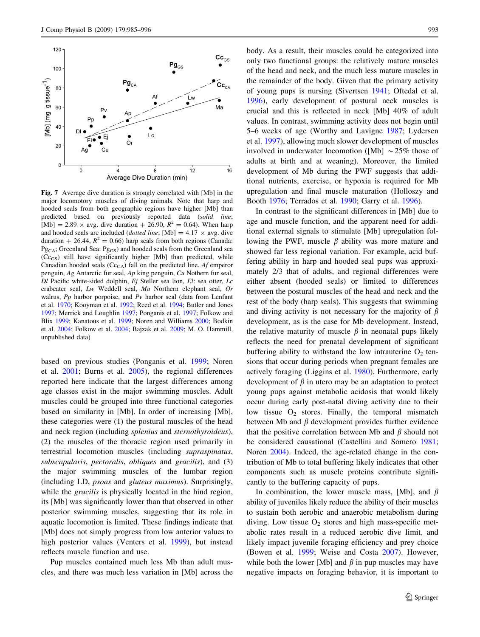<span id="page-8-0"></span>

Fig. 7 Average dive duration is strongly correlated with [Mb] in the major locomotory muscles of diving animals. Note that harp and hooded seals from both geographic regions have higher [Mb] than predicted based on previously reported data (solid line; [Mb] = 2.89  $\times$  avg. dive duration + 26.90,  $R^2 = 0.64$ ). When harp and hooded seals are included (*dotted line*; [Mb] =  $4.17 \times avg$ . dive duration  $+ 26.44$ ,  $R^2 = 0.66$ ) harp seals from both regions (Canada: Pg<sub>CA</sub>; Greenland Sea: Pg<sub>GS</sub>) and hooded seals from the Greenland sea  $(Cc_{GS})$  still have significantly higher [Mb] than predicted, while Canadian hooded seals  $(Cc_{C\text{A}})$  fall on the predicted line. Af emperor penguin, Ag Antarctic fur seal, Ap king penguin, Cu Nothern fur seal,  $DI$  Pacific white-sided dolphin,  $Ej$  Steller sea lion,  $El$ : sea otter,  $Lc$ crabeater seal, Lw Weddell seal, Ma Northern elephant seal, Or walrus, Pp harbor porpoise, and Pv harbor seal (data from Lenfant et al. [1970;](#page-10-0) Kooyman et al. [1992](#page-10-0); Reed et al. [1994;](#page-11-0) Butler and Jones [1997;](#page-10-0) Merrick and Loughlin [1997](#page-11-0); Ponganis et al. [1997](#page-11-0); Folkow and Blix [1999;](#page-10-0) Kanatous et al. [1999](#page-10-0); Noren and Williams [2000;](#page-11-0) Bodkin et al. [2004](#page-10-0); Folkow et al. [2004](#page-10-0); Bajzak et al. [2009](#page-10-0); M. O. Hammill, unpublished data)

based on previous studies (Ponganis et al. [1999;](#page-11-0) Noren et al. [2001](#page-11-0); Burns et al. [2005\)](#page-10-0), the regional differences reported here indicate that the largest differences among age classes exist in the major swimming muscles. Adult muscles could be grouped into three functional categories based on similarity in [Mb]. In order of increasing [Mb], these categories were (1) the postural muscles of the head and neck region (including splenius and sternothyroideus), (2) the muscles of the thoracic region used primarily in terrestrial locomotion muscles (including supraspinatus, subscapularis, pectoralis, obliques and gracilis), and (3) the major swimming muscles of the lumbar region (including LD, psoas and gluteus maximus). Surprisingly, while the *gracilis* is physically located in the hind region, its [Mb] was significantly lower than that observed in other posterior swimming muscles, suggesting that its role in aquatic locomotion is limited. These findings indicate that [Mb] does not simply progress from low anterior values to high posterior values (Venters et al. [1999\)](#page-11-0), but instead reflects muscle function and use.

Pup muscles contained much less Mb than adult muscles, and there was much less variation in [Mb] across the body. As a result, their muscles could be categorized into only two functional groups: the relatively mature muscles of the head and neck, and the much less mature muscles in the remainder of the body. Given that the primary activity of young pups is nursing (Sivertsen [1941](#page-11-0); Oftedal et al. [1996](#page-11-0)), early development of postural neck muscles is crucial and this is reflected in neck [Mb] 40% of adult values. In contrast, swimming activity does not begin until 5–6 weeks of age (Worthy and Lavigne [1987;](#page-11-0) Lydersen et al. [1997\)](#page-10-0), allowing much slower development of muscles involved in underwater locomotion ([Mb]  $\sim$  25% those of adults at birth and at weaning). Moreover, the limited development of Mb during the PWF suggests that additional nutrients, exercise, or hypoxia is required for Mb upregulation and final muscle maturation (Holloszy and Booth [1976;](#page-10-0) Terrados et al. [1990;](#page-11-0) Garry et al. [1996\)](#page-10-0).

In contrast to the significant differences in [Mb] due to age and muscle function, and the apparent need for additional external signals to stimulate [Mb] upregulation following the PWF, muscle  $\beta$  ability was more mature and showed far less regional variation. For example, acid buffering ability in harp and hooded seal pups was approximately 2/3 that of adults, and regional differences were either absent (hooded seals) or limited to differences between the postural muscles of the head and neck and the rest of the body (harp seals). This suggests that swimming and diving activity is not necessary for the majority of  $\beta$ development, as is the case for Mb development. Instead, the relative maturity of muscle  $\beta$  in neonatal pups likely reflects the need for prenatal development of significant buffering ability to withstand the low intrauterine  $O_2$  tensions that occur during periods when pregnant females are actively foraging (Liggins et al. [1980](#page-10-0)). Furthermore, early development of  $\beta$  in utero may be an adaptation to protect young pups against metabolic acidosis that would likely occur during early post-natal diving activity due to their low tissue  $O_2$  stores. Finally, the temporal mismatch between Mb and  $\beta$  development provides further evidence that the positive correlation between Mb and  $\beta$  should not be considered causational (Castellini and Somero [1981](#page-10-0); Noren [2004](#page-11-0)). Indeed, the age-related change in the contribution of Mb to total buffering likely indicates that other components such as muscle proteins contribute significantly to the buffering capacity of pups.

In combination, the lower muscle mass, [Mb], and  $\beta$ ability of juveniles likely reduce the ability of their muscles to sustain both aerobic and anaerobic metabolism during diving. Low tissue  $O_2$  stores and high mass-specific metabolic rates result in a reduced aerobic dive limit, and likely impact juvenile foraging efficiency and prey choice (Bowen et al. [1999;](#page-10-0) Weise and Costa [2007](#page-11-0)). However, while both the lower [Mb] and  $\beta$  in pup muscles may have negative impacts on foraging behavior, it is important to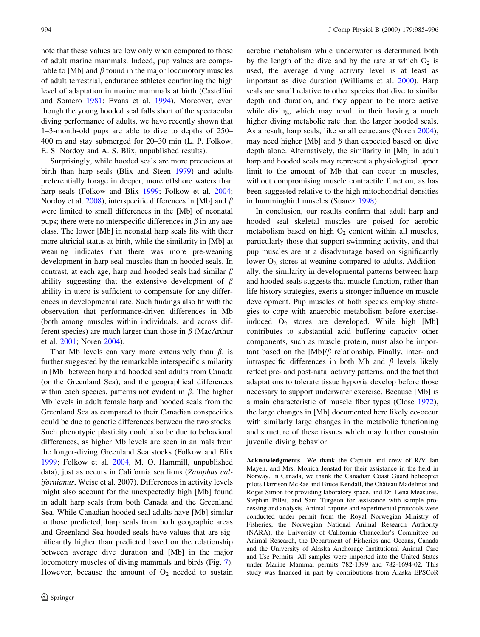note that these values are low only when compared to those of adult marine mammals. Indeed, pup values are comparable to [Mb] and  $\beta$  found in the major locomotory muscles of adult terrestrial, endurance athletes confirming the high level of adaptation in marine mammals at birth (Castellini and Somero [1981;](#page-10-0) Evans et al. [1994](#page-10-0)). Moreover, even though the young hooded seal falls short of the spectacular diving performance of adults, we have recently shown that 1–3-month-old pups are able to dive to depths of 250– 400 m and stay submerged for 20–30 min (L. P. Folkow, E. S. Nordoy and A. S. Blix, unpublished results).

Surprisingly, while hooded seals are more precocious at birth than harp seals (Blix and Steen [1979](#page-10-0)) and adults preferentially forage in deeper, more offshore waters than harp seals (Folkow and Blix [1999](#page-10-0); Folkow et al. [2004](#page-10-0); Nordoy et al. [2008](#page-11-0)), interspecific differences in [Mb] and  $\beta$ were limited to small differences in the [Mb] of neonatal pups; there were no interspecific differences in  $\beta$  in any age class. The lower [Mb] in neonatal harp seals fits with their more altricial status at birth, while the similarity in [Mb] at weaning indicates that there was more pre-weaning development in harp seal muscles than in hooded seals. In contrast, at each age, harp and hooded seals had similar  $\beta$ ability suggesting that the extensive development of  $\beta$ ability in utero is sufficient to compensate for any differences in developmental rate. Such findings also fit with the observation that performance-driven differences in Mb (both among muscles within individuals, and across different species) are much larger than those in  $\beta$  (MacArthur et al. [2001;](#page-11-0) Noren [2004](#page-11-0)).

That Mb levels can vary more extensively than  $\beta$ , is further suggested by the remarkable interspecific similarity in [Mb] between harp and hooded seal adults from Canada (or the Greenland Sea), and the geographical differences within each species, patterns not evident in  $\beta$ . The higher Mb levels in adult female harp and hooded seals from the Greenland Sea as compared to their Canadian conspecifics could be due to genetic differences between the two stocks. Such phenotypic plasticity could also be due to behavioral differences, as higher Mb levels are seen in animals from the longer-diving Greenland Sea stocks (Folkow and Blix [1999;](#page-10-0) Folkow et al. [2004,](#page-10-0) M. O. Hammill, unpublished data), just as occurs in California sea lions (Zalophus californianus, Weise et al. 2007). Differences in activity levels might also account for the unexpectedly high [Mb] found in adult harp seals from both Canada and the Greenland Sea. While Canadian hooded seal adults have [Mb] similar to those predicted, harp seals from both geographic areas and Greenland Sea hooded seals have values that are significantly higher than predicted based on the relationship between average dive duration and [Mb] in the major locomotory muscles of diving mammals and birds (Fig. [7](#page-8-0)). However, because the amount of  $O_2$  needed to sustain

aerobic metabolism while underwater is determined both by the length of the dive and by the rate at which  $O_2$  is used, the average diving activity level is at least as important as dive duration (Williams et al. [2000\)](#page-11-0). Harp seals are small relative to other species that dive to similar depth and duration, and they appear to be more active while diving, which may result in their having a much higher diving metabolic rate than the larger hooded seals. As a result, harp seals, like small cetaceans (Noren [2004](#page-11-0)), may need higher [Mb] and  $\beta$  than expected based on dive depth alone. Alternatively, the similarity in [Mb] in adult harp and hooded seals may represent a physiological upper limit to the amount of Mb that can occur in muscles, without compromising muscle contractile function, as has been suggested relative to the high mitochondrial densities in hummingbird muscles (Suarez [1998](#page-11-0)).

In conclusion, our results confirm that adult harp and hooded seal skeletal muscles are poised for aerobic metabolism based on high  $O<sub>2</sub>$  content within all muscles, particularly those that support swimming activity, and that pup muscles are at a disadvantage based on significantly lower  $O_2$  stores at weaning compared to adults. Additionally, the similarity in developmental patterns between harp and hooded seals suggests that muscle function, rather than life history strategies, exerts a stronger influence on muscle development. Pup muscles of both species employ strategies to cope with anaerobic metabolism before exerciseinduced  $O_2$  stores are developed. While high [Mb] contributes to substantial acid buffering capacity other components, such as muscle protein, must also be important based on the  $[Mb]/\beta$  relationship. Finally, inter- and intraspecific differences in both Mb and  $\beta$  levels likely reflect pre- and post-natal activity patterns, and the fact that adaptations to tolerate tissue hypoxia develop before those necessary to support underwater exercise. Because [Mb] is a main characteristic of muscle fiber types (Close [1972](#page-10-0)), the large changes in [Mb] documented here likely co-occur with similarly large changes in the metabolic functioning and structure of these tissues which may further constrain juvenile diving behavior.

Acknowledgments We thank the Captain and crew of R/V Jan Mayen, and Mrs. Monica Jenstad for their assistance in the field in Norway. In Canada, we thank the Canadian Coast Guard helicopter pilots Harrison McRae and Bruce Kendall, the Château Madelinot and Roger Simon for providing laboratory space, and Dr. Lena Measures, Stephan Pillet, and Sam Turgeon for assistance with sample processing and analysis. Animal capture and experimental protocols were conducted under permit from the Royal Norwegian Ministry of Fisheries, the Norwegian National Animal Research Authority (NARA), the University of California Chancellor's Committee on Animal Research, the Department of Fisheries and Oceans, Canada and the University of Alaska Anchorage Institutional Animal Care and Use Permits. All samples were imported into the United States under Marine Mammal permits 782-1399 and 782-1694-02. This study was financed in part by contributions from Alaska EPSCoR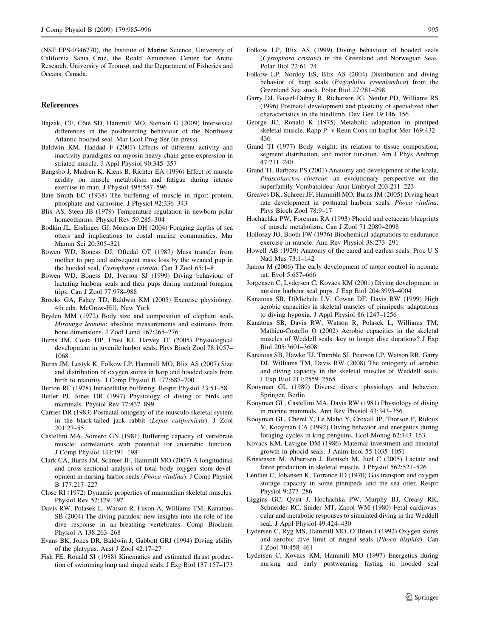<span id="page-10-0"></span>(NSF EPS-0346770), the Institute of Marine Science, University of California Santa Cruz, the Roald Amundsen Center for Arctic Research, University of Tromsø, and the Department of Fisheries and Oceans, Canada.

## References

- Bajzak, CE, Côté SD, Hammill MO, Stenson G (2009) Intersexual differences in the postbreeding behaviour of the Northwest Atlantic hooded seal. Mar Ecol Prog Ser (in press)
- Baldwin KM, Haddad F (2001) Effects of different activity and inactivity paradigms on myosin heavy chain gene expression in striated muscle. J Appl Physiol 90:345–357
- Bangsbo J, Madsen K, Kiens B, Richter EA (1996) Effect of muscle acidity on muscle metabolism and fatigue during intense exercise in man. J Physiol 495:587–596
- Bate Smith EC (1938) The buffering of muscle in rigor: protein, phosphate and carnosine. J Physiol 92:336–343
- Blix AS, Steen JB (1979) Temperature regulation in newborn polar homeotherms. Physiol Rev 59:285–304
- Bodkin JL, Esslinger GJ, Monson DH (2004) Foraging depths of sea otters and implications to costal marine communities. Mar Mamm Sci 20:305–321
- Bowen WD, Boness DJ, Oftedal OT (1987) Mass transfer from mother to pup and subsequent mass loss by the weaned pup in the hooded seal, Cystophora cristata. Can J Zool 65:1–8
- Bowen WD, Boness DJ, Iverson SJ (1999) Diving behaviour of lactating harbour seals and their pups during maternal foraging trips. Can J Zool 77:978–988
- Brooks GA, Fahey TD, Baldwin KM (2005) Exercise physiology, 4th edn. McGraw-Hill, New York
- Bryden MM (1972) Body size and composition of elephant seals Mirounga leonina: absolute measurements and estimates from bone dimensions. J Zool Lond 167:265–276
- Burns JM, Costa DP, Frost KJ, Harvey JT (2005) Physiological development in juvenile harbor seals. Phys Bioch Zool 78:1057– 1068
- Burns JM, Lestyk K, Folkow LP, Hammill MO, Blix AS (2007) Size and distribution of oxygen stores in harp and hooded seals from birth to maturity. J Comp Physiol B 177:687–700
- Burton RF (1978) Intracellular buffering. Respir Physiol 33:51–58
- Butler PJ, Jones DR (1997) Physiology of diving of birds and mammals. Physiol Rev 77:837–899
- Carrier DR (1983) Postnatal ontogeny of the musculo-skeletal system in the black-tailed jack rabbit (Lepus californicus). J Zool 201:27–55
- Castellini MA, Somero GN (1981) Buffering capacity of vertebrate muscle: correlations with potential for anaerobic function. J Comp Physiol 143:191–198
- Clark CA, Burns JM, Schreer JF, Hammill MO (2007) A longitudinal and cross-sectional analysis of total body oxygen store development in nursing harbor seals (Phoca vitulina). J Comp Physiol B 177:217–227
- Close RI (1972) Dynamic properties of mammalian skeletal muscles. Physiol Rev 52:129–197
- Davis RW, Polasek L, Watson R, Fuson A, Williams TM, Kanatous SB (2004) The diving paradox: new insights into the role of the dive response in air-breathing vertebrates. Comp Biochem Physiol A 138:263–268
- Evans BK, Jones DR, Baldwin J, Gabbott GRJ (1994) Diving ability of the platypus. Aust J Zool 42:17–27
- Fish FE, Ronald SI (1988) Kinematics and estimated thrust production of swimming harp and ringed seals. J Exp Biol 137:157–173
- Folkow LP, Blix AS (1999) Diving behaviour of hooded seals (Cystophora cristata) in the Greenland and Norwegian Seas. Polar Biol 22:61–74
- Folkow LP, Nordoy ES, Blix AS (2004) Distribution and diving behavior of harp seals (Pagophilus groenlandica) from the Greenland Sea stock. Polar Biol 27:281–298
- Garry DJ, Bassel-Dubay R, Richarson JG, Neufer PD, Williams RS (1996) Postnatal development and plasticity of specialized fiber characteristics in the hindlimb. Dev Gen 19:146–156
- George JC, Ronald K (1975) Metabolic adaptation in pinniped skeletal muscle. Rapp P -v Reun Cons int Explor Mer 169:432– 436
- Grand TI (1977) Body weight: its relation to tissue composition, segment distribution, and motor function. Am J Phys Anthrop 47:211–240
- Grand TI, Barboza PS (2001) Anatomy and development of the koala, Phascolarctos cinereus: an evolutionary perspective on the superfamily Vombatoidea. Anat Embryol 203:211–223
- Greaves DK, Schreer JF, Hammill MO, Burns JM (2005) Diving heart rate development in postnatal harbour seals, Phoca vitulina. Phys Bioch Zool 78:9–17
- Hochachka PW, Foreman RA (1993) Phocid and cetacean blueprints of muscle metabolism. Can J Zool 71:2089–2098
- Holloszy JO, Booth FW (1976) Biochemical adaptations to endurance exercise in muscle. Ann Rev Physiol 38:273–291
- Howell AB (1929) Anatomy of the eared and earless seals. Proc U S Natl Mus 73:1–142
- Jamon M (2006) The early development of motor control in neonate rat. Evol 5:657–666
- Jorgensen C, Lydersen C, Kovacs KM (2001) Diving development in nursing harbour seal pups. J Exp Biol 204:3993–4004
- Kanatous SB, DiMichele LV, Cowan DF, Davis RW (1999) High aerobic capacities in skeletal muscles of pinnipeds: adaptations to diving hypoxia. J Appl Physiol 86:1247–1256
- Kanatous SB, Davis RW, Watson R, Polasek L, Williams TM, Mathieu-Costello O (2002) Aerobic capacities in the skeletal muscles of Weddell seals: key to longer dive durations? J Exp Biol 205:3601–3608
- Kanatous SB, Hawke TJ, Trumble SJ, Pearson LP, Watson RR, Garry DJ, Williams TM, Davis RW (2008) The ontogeny of aerobic and diving capacity in the skeletal muscles of Weddell seals. J Exp Biol 211:2559–2565
- Kooyman GL (1989) Diverse divers: physiology and behavior. Springer, Berlin
- Kooyman GL, Castellini MA, Davis RW (1981) Physiology of diving in marine mammals. Ann Rev Physiol 43:343–356
- Kooyman GL, Cherel Y, Le Maho Y, Croxall JP, Thorson P, Ridoux V, Kooyman CA (1992) Diving behavior and energetics during foraging cycles in king penguins. Ecol Monog 62:143–163
- Kovacs KM, Lavigne DM (1986) Maternal investment and neonatal growth in phocid seals. J Anim Ecol 55:1035–1051
- Kristensen M, Albertsen J, Rentsch M, Juel C (2005) Lactate and force production in skeletal muscle. J Physiol 562:521–526
- Lenfant C, Johansen K, Torrance JD (1970) Gas transport and oxygen storage capacity in some pinnipeds and the sea otter. Respir Physiol 9:277–286
- Liggins GC, Qvist J, Hochachka PW, Murphy BJ, Creasy RK, Schneider RC, Snider MT, Zapol WM (1980) Fetal cardiovascular and metabolic responses to simulated diving in the Weddell seal. J Appl Physiol 49:424–430
- Lydersen C, Ryg MS, Hammill MO, O'Brien J (1992) Oxygen stores and aerobic dive limit of ringed seals (Phoca hispida). Can J Zool 70:458–461
- Lydersen C, Kovacs KM, Hammill MO (1997) Energetics during nursing and early postweaning fasting in hooded seal